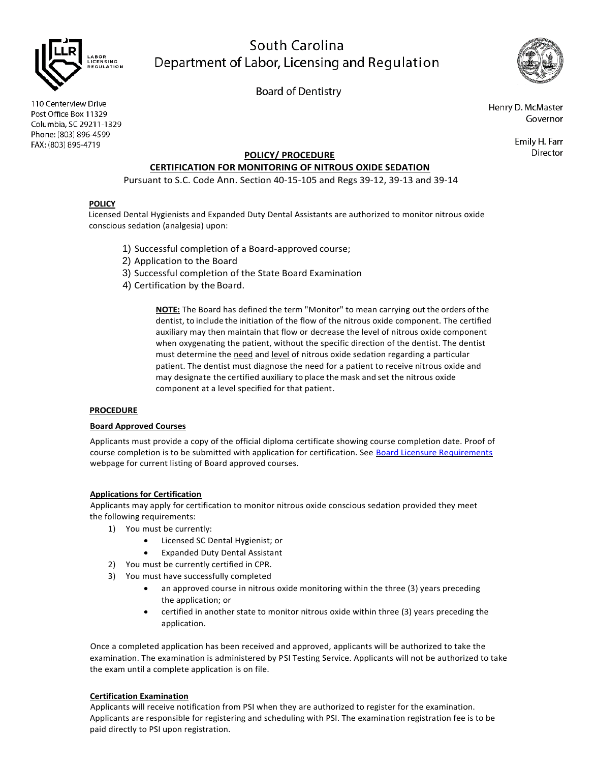

# South Carolina Department of Labor, Licensing and Regulation

**Board of Dentistry** 

110 Centerview Drive Post Office Box 11329 Columbia, SC 29211-1329 Phone: (803) 896-4599 FAX: (803) 896-4719

Henry D. McMaster Governor

> Emily H. Farr Director

# **POLICY/ PROCEDURE**

# **CERTIFICATION FOR MONITORING OF NITROUS OXIDE SEDATION**

Pursuant to S.C. Code Ann. Section 40-15-105 and Regs 39-12, 39-13 and 39-14

## **POLICY**

Licensed Dental Hygienists and Expanded Duty Dental Assistants are authorized to monitor nitrous oxide conscious sedation (analgesia) upon:

- 1) Successful completion of a Board-approved course;
- 2) Application to the Board
- 3) Successful completion of the State Board Examination
- 4) Certification by the Board.

**NOTE:** The Board has defined the term "Monitor" to mean carrying out the orders ofthe dentist, to include the initiation of the flow of the nitrous oxide component. The certified auxiliary may then maintain that flow or decrease the level of nitrous oxide component when oxygenating the patient, without the specific direction of the dentist. The dentist must determine the need and level of nitrous oxide sedation regarding a particular patient. The dentist must diagnose the need for a patient to receive nitrous oxide and may designate the certified auxiliary to place themask and set the nitrous oxide component at a level specified for that patient.

## **PROCEDURE**

#### **Board Approved Courses**

Applicants must provide a copy of the official diploma certificate showing course completion date. Proof of course completion is to be submitted with application for certification. See [Board Licensure Requirements](https://www.llr.sc.gov/bod/licensure.aspx) webpage for current listing of Board approved courses.

#### **Applications for Certification**

Applicants may apply for certification to monitor nitrous oxide conscious sedation provided they meet the following requirements:

- 1) You must be currently:
	- Licensed SC Dental Hygienist; or
	- Expanded Duty Dental Assistant
- 2) You must be currently certified in CPR.
- 3) You must have successfully completed
	- an approved course in nitrous oxide monitoring within the three (3) years preceding the application; or
	- certified in another state to monitor nitrous oxide within three (3) years preceding the application.

Once a completed application has been received and approved, applicants will be authorized to take the examination. The examination is administered by PSI Testing Service. Applicants will not be authorized to take the exam until a complete application is on file.

#### **Certification Examination**

Applicants will receive notification from PSI when they are authorized to register for the examination. Applicants are responsible for registering and scheduling with PSI. The examination registration fee is to be paid directly to PSI upon registration.